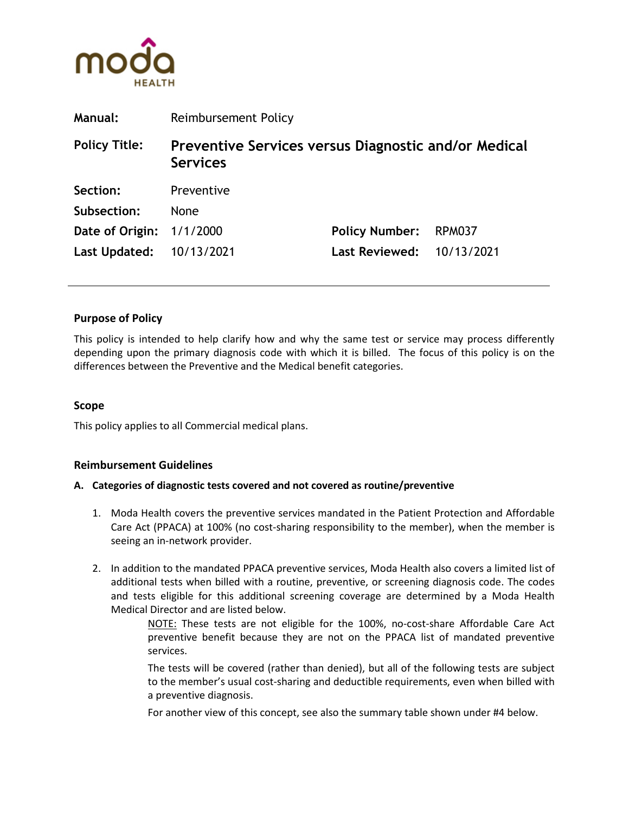

| <b>Manual:</b>           | Reimbursement Policy                                                    |                                  |        |
|--------------------------|-------------------------------------------------------------------------|----------------------------------|--------|
| <b>Policy Title:</b>     | Preventive Services versus Diagnostic and/or Medical<br><b>Services</b> |                                  |        |
| Section:                 | Preventive                                                              |                                  |        |
| Subsection:              | <b>None</b>                                                             |                                  |        |
| Date of Origin: 1/1/2000 |                                                                         | <b>Policy Number:</b>            | RPM037 |
| Last Updated: 10/13/2021 |                                                                         | <b>Last Reviewed: 10/13/2021</b> |        |

### **Purpose of Policy**

This policy is intended to help clarify how and why the same test or service may process differently depending upon the primary diagnosis code with which it is billed. The focus of this policy is on the differences between the Preventive and the Medical benefit categories.

### **Scope**

This policy applies to all Commercial medical plans.

### **Reimbursement Guidelines**

#### **A. Categories of diagnostic tests covered and not covered as routine/preventive**

- 1. Moda Health covers the preventive services mandated in the Patient Protection and Affordable Care Act (PPACA) at 100% (no cost-sharing responsibility to the member), when the member is seeing an in-network provider.
- 2. In addition to the mandated PPACA preventive services, Moda Health also covers a limited list of additional tests when billed with a routine, preventive, or screening diagnosis code. The codes and tests eligible for this additional screening coverage are determined by a Moda Health Medical Director and are listed below.

NOTE: These tests are not eligible for the 100%, no-cost-share Affordable Care Act preventive benefit because they are not on the PPACA list of mandated preventive services.

The tests will be covered (rather than denied), but all of the following tests are subject to the member's usual cost-sharing and deductible requirements, even when billed with a preventive diagnosis.

For another view of this concept, see also the summary table shown under #4 below.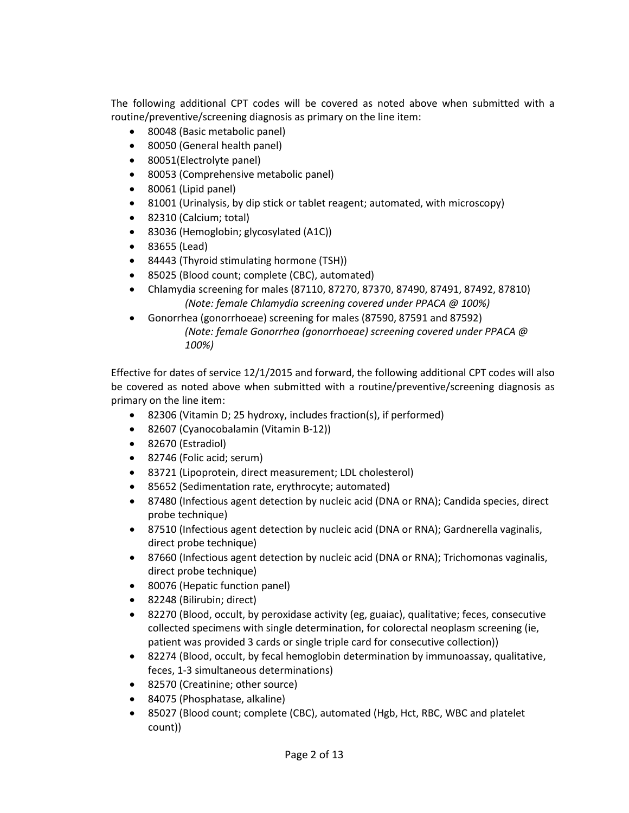The following additional CPT codes will be covered as noted above when submitted with a routine/preventive/screening diagnosis as primary on the line item:

- 80048 (Basic metabolic panel)
- 80050 (General health panel)
- 80051(Electrolyte panel)
- 80053 (Comprehensive metabolic panel)
- 80061 (Lipid panel)
- 81001 (Urinalysis, by dip stick or tablet reagent; automated, with microscopy)
- 82310 (Calcium; total)
- 83036 (Hemoglobin; glycosylated (A1C))
- 83655 (Lead)
- 84443 (Thyroid stimulating hormone (TSH))
- 85025 (Blood count; complete (CBC), automated)
- Chlamydia screening for males (87110, 87270, 87370, 87490, 87491, 87492, 87810) *(Note: female Chlamydia screening covered under PPACA @ 100%)*
- Gonorrhea (gonorrhoeae) screening for males (87590, 87591 and 87592) *(Note: female Gonorrhea (gonorrhoeae) screening covered under PPACA @ 100%)*

Effective for dates of service 12/1/2015 and forward, the following additional CPT codes will also be covered as noted above when submitted with a routine/preventive/screening diagnosis as primary on the line item:

- 82306 (Vitamin D; 25 hydroxy, includes fraction(s), if performed)
- 82607 (Cyanocobalamin (Vitamin B-12))
- 82670 (Estradiol)
- 82746 (Folic acid; serum)
- 83721 (Lipoprotein, direct measurement; LDL cholesterol)
- 85652 (Sedimentation rate, erythrocyte; automated)
- 87480 (Infectious agent detection by nucleic acid (DNA or RNA); Candida species, direct probe technique)
- 87510 (Infectious agent detection by nucleic acid (DNA or RNA); Gardnerella vaginalis, direct probe technique)
- 87660 (Infectious agent detection by nucleic acid (DNA or RNA); Trichomonas vaginalis, direct probe technique)
- 80076 (Hepatic function panel)
- 82248 (Bilirubin; direct)
- 82270 (Blood, occult, by peroxidase activity (eg, guaiac), qualitative; feces, consecutive collected specimens with single determination, for colorectal neoplasm screening (ie, patient was provided 3 cards or single triple card for consecutive collection))
- 82274 (Blood, occult, by fecal hemoglobin determination by immunoassay, qualitative, feces, 1-3 simultaneous determinations)
- 82570 (Creatinine; other source)
- 84075 (Phosphatase, alkaline)
- 85027 (Blood count; complete (CBC), automated (Hgb, Hct, RBC, WBC and platelet count))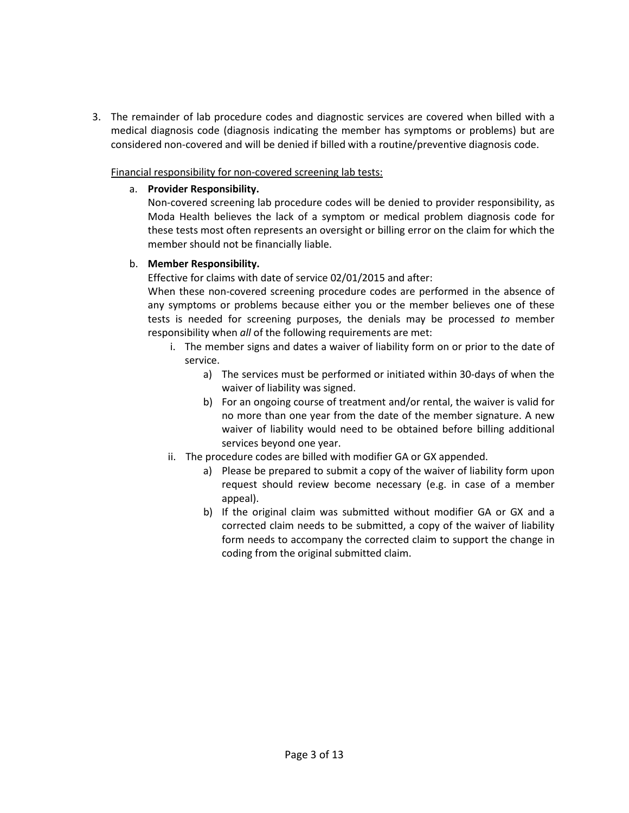3. The remainder of lab procedure codes and diagnostic services are covered when billed with a medical diagnosis code (diagnosis indicating the member has symptoms or problems) but are considered non-covered and will be denied if billed with a routine/preventive diagnosis code.

Financial responsibility for non-covered screening lab tests:

### a. **Provider Responsibility.**

Non-covered screening lab procedure codes will be denied to provider responsibility, as Moda Health believes the lack of a symptom or medical problem diagnosis code for these tests most often represents an oversight or billing error on the claim for which the member should not be financially liable.

### b. **Member Responsibility.**

Effective for claims with date of service 02/01/2015 and after:

When these non-covered screening procedure codes are performed in the absence of any symptoms or problems because either you or the member believes one of these tests is needed for screening purposes, the denials may be processed *to* member responsibility when *all* of the following requirements are met:

- i. The member signs and dates a waiver of liability form on or prior to the date of service.
	- a) The services must be performed or initiated within 30-days of when the waiver of liability was signed.
	- b) For an ongoing course of treatment and/or rental, the waiver is valid for no more than one year from the date of the member signature. A new waiver of liability would need to be obtained before billing additional services beyond one year.
- ii. The procedure codes are billed with modifier GA or GX appended.
	- a) Please be prepared to submit a copy of the waiver of liability form upon request should review become necessary (e.g. in case of a member appeal).
	- b) If the original claim was submitted without modifier GA or GX and a corrected claim needs to be submitted, a copy of the waiver of liability form needs to accompany the corrected claim to support the change in coding from the original submitted claim.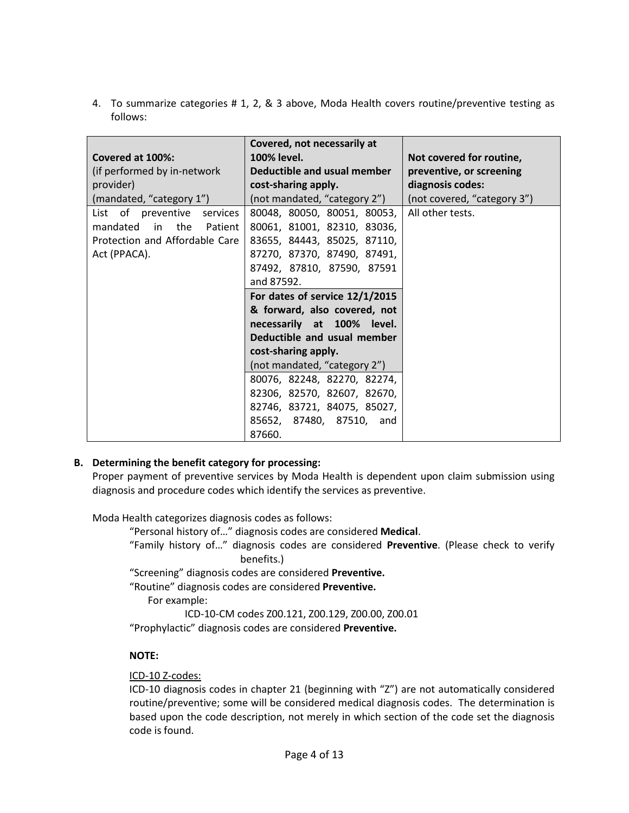4. To summarize categories # 1, 2, & 3 above, Moda Health covers routine/preventive testing as follows:

|                                | Covered, not necessarily at    |                             |
|--------------------------------|--------------------------------|-----------------------------|
| Covered at 100%:               | 100% level.                    | Not covered for routine,    |
| (if performed by in-network    | Deductible and usual member    | preventive, or screening    |
| provider)                      | cost-sharing apply.            | diagnosis codes:            |
| (mandated, "category 1")       | (not mandated, "category 2")   | (not covered, "category 3") |
| List of preventive services    | 80048, 80050, 80051, 80053,    | All other tests.            |
| mandated<br>in the<br>Patient  | 80061, 81001, 82310, 83036,    |                             |
| Protection and Affordable Care | 83655, 84443, 85025, 87110,    |                             |
| Act (PPACA).                   | 87270, 87370, 87490, 87491,    |                             |
|                                | 87492, 87810, 87590, 87591     |                             |
|                                | and 87592.                     |                             |
|                                | For dates of service 12/1/2015 |                             |
|                                | & forward, also covered, not   |                             |
|                                | necessarily at 100% level.     |                             |
|                                | Deductible and usual member    |                             |
|                                | cost-sharing apply.            |                             |
|                                | (not mandated, "category 2")   |                             |
|                                | 80076, 82248, 82270, 82274,    |                             |
|                                | 82306, 82570, 82607, 82670,    |                             |
|                                | 82746, 83721, 84075, 85027,    |                             |
|                                | 85652, 87480, 87510, and       |                             |
|                                | 87660.                         |                             |

## **B. Determining the benefit category for processing:**

Proper payment of preventive services by Moda Health is dependent upon claim submission using diagnosis and procedure codes which identify the services as preventive.

Moda Health categorizes diagnosis codes as follows:

"Personal history of…" diagnosis codes are considered **Medical**.

"Family history of…" diagnosis codes are considered **Preventive**. (Please check to verify benefits.)

"Screening" diagnosis codes are considered **Preventive.**

"Routine" diagnosis codes are considered **Preventive.**

For example:

ICD-10-CM codes Z00.121, Z00.129, Z00.00, Z00.01 "Prophylactic" diagnosis codes are considered **Preventive.**

# **NOTE:**

ICD-10 Z-codes:

ICD-10 diagnosis codes in chapter 21 (beginning with "Z") are not automatically considered routine/preventive; some will be considered medical diagnosis codes. The determination is based upon the code description, not merely in which section of the code set the diagnosis code is found.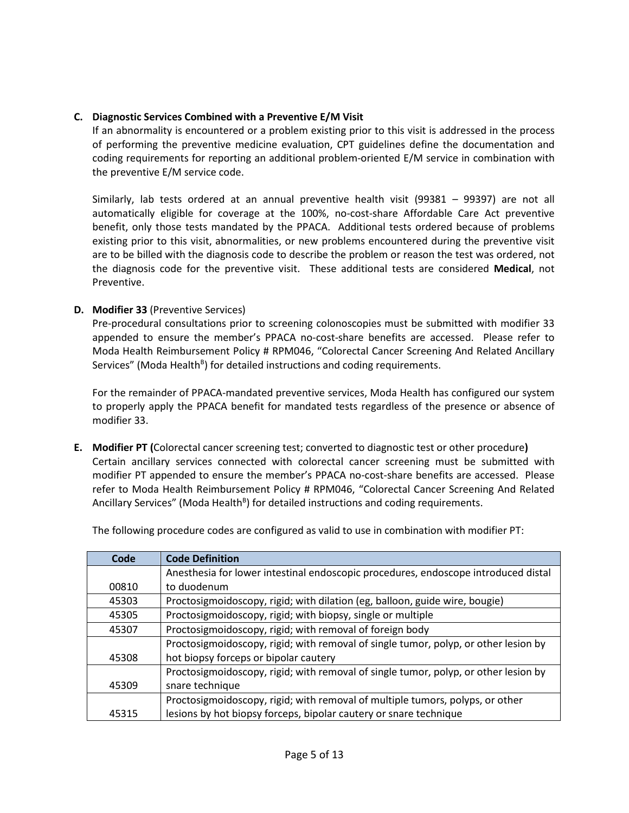## **C. Diagnostic Services Combined with a Preventive E/M Visit**

If an abnormality is encountered or a problem existing prior to this visit is addressed in the process of performing the preventive medicine evaluation, CPT guidelines define the documentation and coding requirements for reporting an additional problem-oriented E/M service in combination with the preventive E/M service code.

Similarly, lab tests ordered at an annual preventive health visit (99381 – 99397) are not all automatically eligible for coverage at the 100%, no-cost-share Affordable Care Act preventive benefit, only those tests mandated by the PPACA. Additional tests ordered because of problems existing prior to this visit, abnormalities, or new problems encountered during the preventive visit are to be billed with the diagnosis code to describe the problem or reason the test was ordered, not the diagnosis code for the preventive visit. These additional tests are considered **Medical**, not Preventive.

### **D. Modifier 33** (Preventive Services)

Pre-procedural consultations prior to screening colonoscopies must be submitted with modifier 33 appended to ensure the member's PPACA no-cost-share benefits are accessed. Please refer to Moda Health Reimbursement Policy # RPM046, "Colorectal Cancer Screening And Related Ancillary Services" (Moda Health<sup>B</sup>) for detailed instructions and coding requirements.

For the remainder of PPACA-mandated preventive services, Moda Health has configured our system to properly apply the PPACA benefit for mandated tests regardless of the presence or absence of modifier 33.

**E. Modifier PT (**Colorectal cancer screening test; converted to diagnostic test or other procedure**)** Certain ancillary services connected with colorectal cancer screening must be submitted with modifier PT appended to ensure the member's PPACA no-cost-share benefits are accessed. Please refer to Moda Health Reimbursement Policy # RPM046, "Colorectal Cancer Screening And Related Ancillary Services" (Moda Health<sup>B</sup>) for detailed instructions and coding requirements.

| Code  | <b>Code Definition</b>                                                              |
|-------|-------------------------------------------------------------------------------------|
|       | Anesthesia for lower intestinal endoscopic procedures, endoscope introduced distal  |
| 00810 | to duodenum                                                                         |
| 45303 | Proctosigmoidoscopy, rigid; with dilation (eg, balloon, guide wire, bougie)         |
| 45305 | Proctosigmoidoscopy, rigid; with biopsy, single or multiple                         |
| 45307 | Proctosigmoidoscopy, rigid; with removal of foreign body                            |
|       | Proctosigmoidoscopy, rigid; with removal of single tumor, polyp, or other lesion by |
| 45308 | hot biopsy forceps or bipolar cautery                                               |
|       | Proctosigmoidoscopy, rigid; with removal of single tumor, polyp, or other lesion by |
| 45309 | snare technique                                                                     |
|       | Proctosigmoidoscopy, rigid; with removal of multiple tumors, polyps, or other       |
| 45315 | lesions by hot biopsy forceps, bipolar cautery or snare technique                   |

The following procedure codes are configured as valid to use in combination with modifier PT: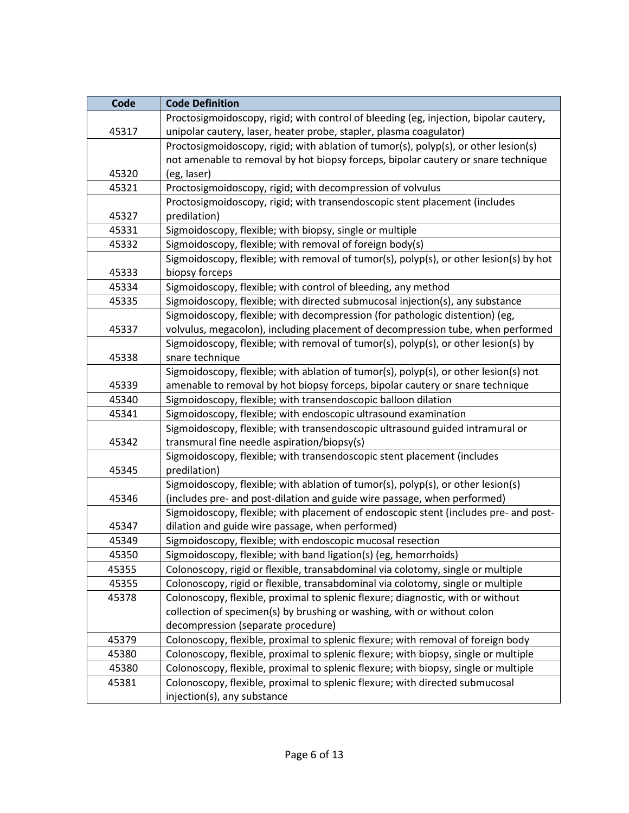| Code  | <b>Code Definition</b>                                                                 |
|-------|----------------------------------------------------------------------------------------|
|       | Proctosigmoidoscopy, rigid; with control of bleeding (eg, injection, bipolar cautery,  |
| 45317 | unipolar cautery, laser, heater probe, stapler, plasma coagulator)                     |
|       | Proctosigmoidoscopy, rigid; with ablation of tumor(s), polyp(s), or other lesion(s)    |
|       | not amenable to removal by hot biopsy forceps, bipolar cautery or snare technique      |
| 45320 | (eg, laser)                                                                            |
| 45321 | Proctosigmoidoscopy, rigid; with decompression of volvulus                             |
|       | Proctosigmoidoscopy, rigid; with transendoscopic stent placement (includes             |
| 45327 | predilation)                                                                           |
| 45331 | Sigmoidoscopy, flexible; with biopsy, single or multiple                               |
| 45332 | Sigmoidoscopy, flexible; with removal of foreign body(s)                               |
|       | Sigmoidoscopy, flexible; with removal of tumor(s), polyp(s), or other lesion(s) by hot |
| 45333 | biopsy forceps                                                                         |
| 45334 | Sigmoidoscopy, flexible; with control of bleeding, any method                          |
| 45335 | Sigmoidoscopy, flexible; with directed submucosal injection(s), any substance          |
|       | Sigmoidoscopy, flexible; with decompression (for pathologic distention) (eg,           |
| 45337 | volvulus, megacolon), including placement of decompression tube, when performed        |
|       | Sigmoidoscopy, flexible; with removal of tumor(s), polyp(s), or other lesion(s) by     |
| 45338 | snare technique                                                                        |
|       | Sigmoidoscopy, flexible; with ablation of tumor(s), polyp(s), or other lesion(s) not   |
| 45339 | amenable to removal by hot biopsy forceps, bipolar cautery or snare technique          |
| 45340 | Sigmoidoscopy, flexible; with transendoscopic balloon dilation                         |
| 45341 | Sigmoidoscopy, flexible; with endoscopic ultrasound examination                        |
|       | Sigmoidoscopy, flexible; with transendoscopic ultrasound guided intramural or          |
| 45342 | transmural fine needle aspiration/biopsy(s)                                            |
|       | Sigmoidoscopy, flexible; with transendoscopic stent placement (includes                |
| 45345 | predilation)                                                                           |
|       | Sigmoidoscopy, flexible; with ablation of tumor(s), polyp(s), or other lesion(s)       |
| 45346 | (includes pre- and post-dilation and guide wire passage, when performed)               |
|       | Sigmoidoscopy, flexible; with placement of endoscopic stent (includes pre- and post-   |
| 45347 | dilation and guide wire passage, when performed)                                       |
| 45349 | Sigmoidoscopy, flexible; with endoscopic mucosal resection                             |
| 45350 | Sigmoidoscopy, flexible; with band ligation(s) (eg, hemorrhoids)                       |
| 45355 | Colonoscopy, rigid or flexible, transabdominal via colotomy, single or multiple        |
| 45355 | Colonoscopy, rigid or flexible, transabdominal via colotomy, single or multiple        |
| 45378 | Colonoscopy, flexible, proximal to splenic flexure; diagnostic, with or without        |
|       | collection of specimen(s) by brushing or washing, with or without colon                |
|       | decompression (separate procedure)                                                     |
| 45379 | Colonoscopy, flexible, proximal to splenic flexure; with removal of foreign body       |
| 45380 | Colonoscopy, flexible, proximal to splenic flexure; with biopsy, single or multiple    |
| 45380 | Colonoscopy, flexible, proximal to splenic flexure; with biopsy, single or multiple    |
| 45381 | Colonoscopy, flexible, proximal to splenic flexure; with directed submucosal           |
|       | injection(s), any substance                                                            |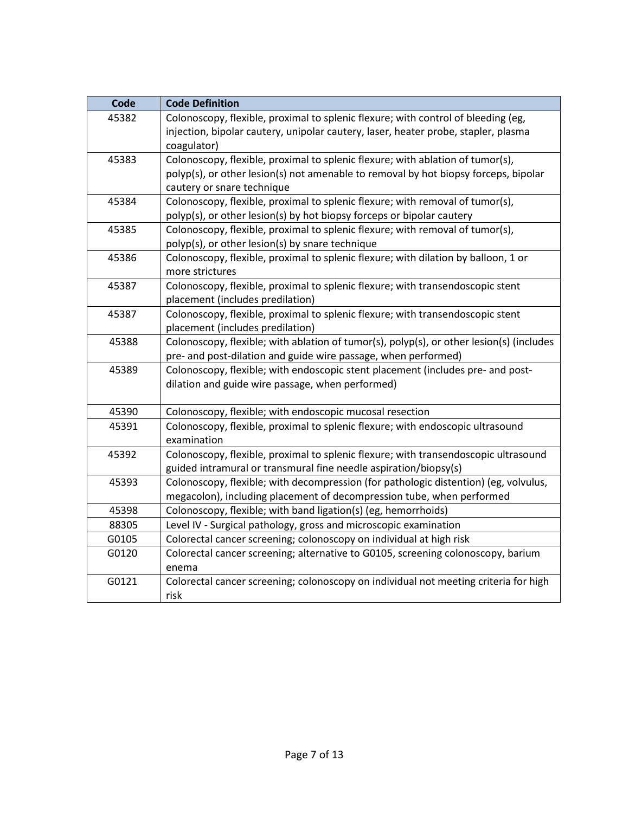| Code  | <b>Code Definition</b>                                                                                                                                                                              |
|-------|-----------------------------------------------------------------------------------------------------------------------------------------------------------------------------------------------------|
| 45382 | Colonoscopy, flexible, proximal to splenic flexure; with control of bleeding (eg,<br>injection, bipolar cautery, unipolar cautery, laser, heater probe, stapler, plasma<br>coagulator)              |
| 45383 | Colonoscopy, flexible, proximal to splenic flexure; with ablation of tumor(s),<br>polyp(s), or other lesion(s) not amenable to removal by hot biopsy forceps, bipolar<br>cautery or snare technique |
| 45384 | Colonoscopy, flexible, proximal to splenic flexure; with removal of tumor(s),<br>polyp(s), or other lesion(s) by hot biopsy forceps or bipolar cautery                                              |
| 45385 | Colonoscopy, flexible, proximal to splenic flexure; with removal of tumor(s),<br>polyp(s), or other lesion(s) by snare technique                                                                    |
| 45386 | Colonoscopy, flexible, proximal to splenic flexure; with dilation by balloon, 1 or<br>more strictures                                                                                               |
| 45387 | Colonoscopy, flexible, proximal to splenic flexure; with transendoscopic stent<br>placement (includes predilation)                                                                                  |
| 45387 | Colonoscopy, flexible, proximal to splenic flexure; with transendoscopic stent<br>placement (includes predilation)                                                                                  |
| 45388 | Colonoscopy, flexible; with ablation of tumor(s), polyp(s), or other lesion(s) (includes<br>pre- and post-dilation and guide wire passage, when performed)                                          |
| 45389 | Colonoscopy, flexible; with endoscopic stent placement (includes pre- and post-<br>dilation and guide wire passage, when performed)                                                                 |
| 45390 | Colonoscopy, flexible; with endoscopic mucosal resection                                                                                                                                            |
| 45391 | Colonoscopy, flexible, proximal to splenic flexure; with endoscopic ultrasound<br>examination                                                                                                       |
| 45392 | Colonoscopy, flexible, proximal to splenic flexure; with transendoscopic ultrasound<br>guided intramural or transmural fine needle aspiration/biopsy(s)                                             |
| 45393 | Colonoscopy, flexible; with decompression (for pathologic distention) (eg, volvulus,<br>megacolon), including placement of decompression tube, when performed                                       |
| 45398 | Colonoscopy, flexible; with band ligation(s) (eg, hemorrhoids)                                                                                                                                      |
| 88305 | Level IV - Surgical pathology, gross and microscopic examination                                                                                                                                    |
| G0105 | Colorectal cancer screening; colonoscopy on individual at high risk                                                                                                                                 |
| G0120 | Colorectal cancer screening; alternative to G0105, screening colonoscopy, barium<br>enema                                                                                                           |
| G0121 | Colorectal cancer screening; colonoscopy on individual not meeting criteria for high<br>risk                                                                                                        |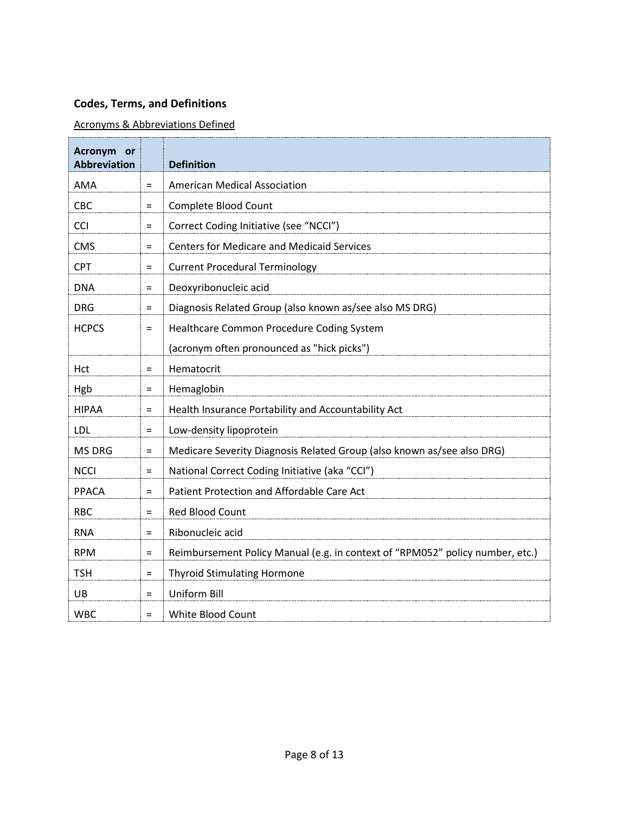# **Codes, Terms, and Definitions**

# Acronyms & Abbreviations Defined

| Acronym or<br><b>Abbreviation</b> |          | <b>Definition</b>                                                             |
|-----------------------------------|----------|-------------------------------------------------------------------------------|
| AMA                               | $\equiv$ | <b>American Medical Association</b>                                           |
| CBC                               | $\equiv$ | Complete Blood Count                                                          |
| CCI                               | $\equiv$ | Correct Coding Initiative (see "NCCI")                                        |
| <b>CMS</b>                        | $\equiv$ | <b>Centers for Medicare and Medicaid Services</b>                             |
| <b>CPT</b>                        | $=$      | <b>Current Procedural Terminology</b>                                         |
| <b>DNA</b>                        | $\equiv$ | Deoxyribonucleic acid                                                         |
| <b>DRG</b>                        | $\equiv$ | Diagnosis Related Group (also known as/see also MS DRG)                       |
| <b>HCPCS</b>                      | $\equiv$ | Healthcare Common Procedure Coding System                                     |
|                                   |          | (acronym often pronounced as "hick picks")                                    |
| Hct                               | $\equiv$ | Hematocrit                                                                    |
| Hgb                               | $\equiv$ | Hemaglobin                                                                    |
| <b>HIPAA</b>                      | $\equiv$ | Health Insurance Portability and Accountability Act                           |
| LDL                               | $\equiv$ | Low-density lipoprotein                                                       |
| MS DRG                            | $\equiv$ | Medicare Severity Diagnosis Related Group (also known as/see also DRG)        |
| <b>NCCI</b>                       | $=$      | National Correct Coding Initiative (aka "CCI")                                |
| PPACA                             | $\equiv$ | Patient Protection and Affordable Care Act                                    |
| <b>RBC</b>                        | $\equiv$ | Red Blood Count                                                               |
| <b>RNA</b>                        | $=$      | Ribonucleic acid                                                              |
| <b>RPM</b>                        | $=$      | Reimbursement Policy Manual (e.g. in context of "RPM052" policy number, etc.) |
| <b>TSH</b>                        | $\equiv$ | <b>Thyroid Stimulating Hormone</b>                                            |
| UB                                | $=$      | <b>Uniform Bill</b>                                                           |
| <b>WBC</b>                        | $\equiv$ | White Blood Count                                                             |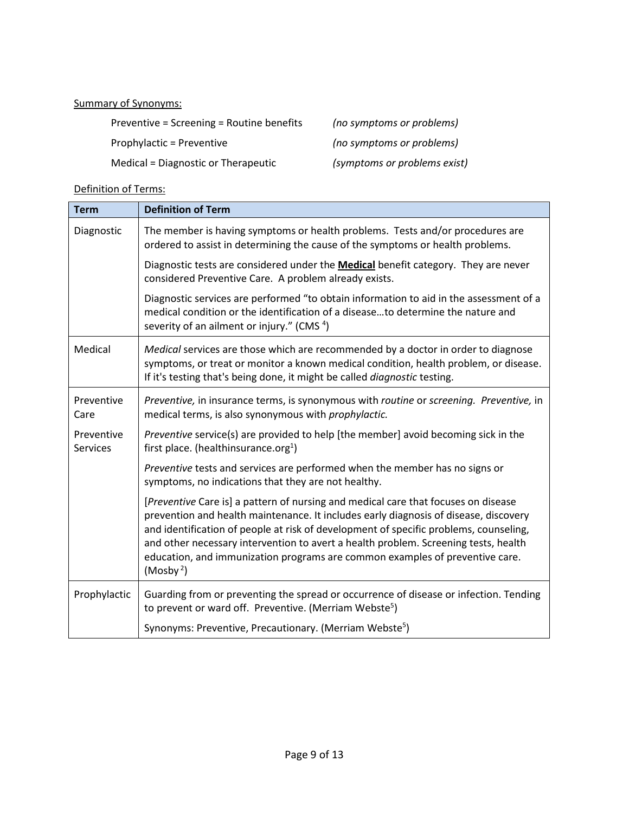### Summary of Synonyms:

Preventive = Screening = Routine benefits *(no symptoms or problems)* Prophylactic = Preventive *(no symptoms or problems)* Medical = Diagnostic or Therapeutic *(symptoms or problems exist)*

# Definition of Terms:

| <b>Term</b>                   | <b>Definition of Term</b>                                                                                                                                                                                                                                                                                                                                                                                                                                           |
|-------------------------------|---------------------------------------------------------------------------------------------------------------------------------------------------------------------------------------------------------------------------------------------------------------------------------------------------------------------------------------------------------------------------------------------------------------------------------------------------------------------|
| Diagnostic                    | The member is having symptoms or health problems. Tests and/or procedures are<br>ordered to assist in determining the cause of the symptoms or health problems.                                                                                                                                                                                                                                                                                                     |
|                               | Diagnostic tests are considered under the <b>Medical</b> benefit category. They are never<br>considered Preventive Care. A problem already exists.                                                                                                                                                                                                                                                                                                                  |
|                               | Diagnostic services are performed "to obtain information to aid in the assessment of a<br>medical condition or the identification of a diseaseto determine the nature and<br>severity of an ailment or injury." (CMS <sup>4</sup> )                                                                                                                                                                                                                                 |
| Medical                       | Medical services are those which are recommended by a doctor in order to diagnose<br>symptoms, or treat or monitor a known medical condition, health problem, or disease.<br>If it's testing that's being done, it might be called <i>diagnostic</i> testing.                                                                                                                                                                                                       |
| Preventive<br>Care            | Preventive, in insurance terms, is synonymous with routine or screening. Preventive, in<br>medical terms, is also synonymous with prophylactic.                                                                                                                                                                                                                                                                                                                     |
| Preventive<br><b>Services</b> | Preventive service(s) are provided to help [the member] avoid becoming sick in the<br>first place. (healthinsurance.org <sup>1</sup> )                                                                                                                                                                                                                                                                                                                              |
|                               | Preventive tests and services are performed when the member has no signs or<br>symptoms, no indications that they are not healthy.                                                                                                                                                                                                                                                                                                                                  |
|                               | [Preventive Care is] a pattern of nursing and medical care that focuses on disease<br>prevention and health maintenance. It includes early diagnosis of disease, discovery<br>and identification of people at risk of development of specific problems, counseling,<br>and other necessary intervention to avert a health problem. Screening tests, health<br>education, and immunization programs are common examples of preventive care.<br>(Mosby <sup>2</sup> ) |
| Prophylactic                  | Guarding from or preventing the spread or occurrence of disease or infection. Tending<br>to prevent or ward off. Preventive. (Merriam Webste <sup>5</sup> )                                                                                                                                                                                                                                                                                                         |
|                               | Synonyms: Preventive, Precautionary. (Merriam Webste <sup>5</sup> )                                                                                                                                                                                                                                                                                                                                                                                                 |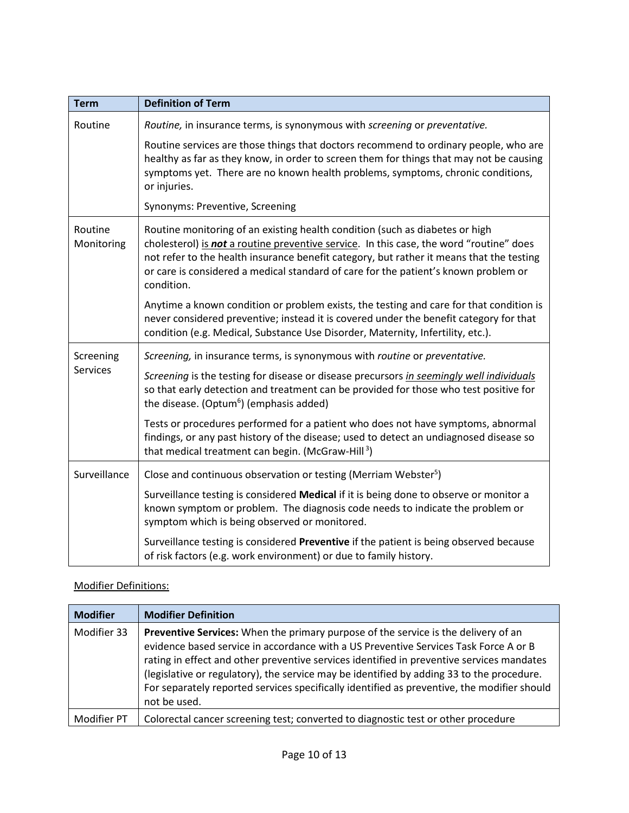| <b>Term</b>           | <b>Definition of Term</b>                                                                                                                                                                                                                                                                                                                                                |
|-----------------------|--------------------------------------------------------------------------------------------------------------------------------------------------------------------------------------------------------------------------------------------------------------------------------------------------------------------------------------------------------------------------|
| Routine               | Routine, in insurance terms, is synonymous with screening or preventative.                                                                                                                                                                                                                                                                                               |
|                       | Routine services are those things that doctors recommend to ordinary people, who are<br>healthy as far as they know, in order to screen them for things that may not be causing<br>symptoms yet. There are no known health problems, symptoms, chronic conditions,<br>or injuries.                                                                                       |
|                       | Synonyms: Preventive, Screening                                                                                                                                                                                                                                                                                                                                          |
| Routine<br>Monitoring | Routine monitoring of an existing health condition (such as diabetes or high<br>cholesterol) is not a routine preventive service. In this case, the word "routine" does<br>not refer to the health insurance benefit category, but rather it means that the testing<br>or care is considered a medical standard of care for the patient's known problem or<br>condition. |
|                       | Anytime a known condition or problem exists, the testing and care for that condition is<br>never considered preventive; instead it is covered under the benefit category for that<br>condition (e.g. Medical, Substance Use Disorder, Maternity, Infertility, etc.).                                                                                                     |
| Screening             | Screening, in insurance terms, is synonymous with routine or preventative.                                                                                                                                                                                                                                                                                               |
| <b>Services</b>       | Screening is the testing for disease or disease precursors in seemingly well individuals<br>so that early detection and treatment can be provided for those who test positive for<br>the disease. (Optum <sup>6</sup> ) (emphasis added)                                                                                                                                 |
|                       | Tests or procedures performed for a patient who does not have symptoms, abnormal<br>findings, or any past history of the disease; used to detect an undiagnosed disease so<br>that medical treatment can begin. (McGraw-Hill <sup>3</sup> )                                                                                                                              |
| Surveillance          | Close and continuous observation or testing (Merriam Webster <sup>5</sup> )                                                                                                                                                                                                                                                                                              |
|                       | Surveillance testing is considered Medical if it is being done to observe or monitor a<br>known symptom or problem. The diagnosis code needs to indicate the problem or<br>symptom which is being observed or monitored.                                                                                                                                                 |
|                       | Surveillance testing is considered Preventive if the patient is being observed because<br>of risk factors (e.g. work environment) or due to family history.                                                                                                                                                                                                              |

# Modifier Definitions:

| <b>Modifier</b> | <b>Modifier Definition</b>                                                                                                                                                                                                                                                                                                                                                                                                                                                          |
|-----------------|-------------------------------------------------------------------------------------------------------------------------------------------------------------------------------------------------------------------------------------------------------------------------------------------------------------------------------------------------------------------------------------------------------------------------------------------------------------------------------------|
| Modifier 33     | Preventive Services: When the primary purpose of the service is the delivery of an<br>evidence based service in accordance with a US Preventive Services Task Force A or B<br>rating in effect and other preventive services identified in preventive services mandates<br>(legislative or regulatory), the service may be identified by adding 33 to the procedure.<br>For separately reported services specifically identified as preventive, the modifier should<br>not be used. |
| Modifier PT     | Colorectal cancer screening test; converted to diagnostic test or other procedure                                                                                                                                                                                                                                                                                                                                                                                                   |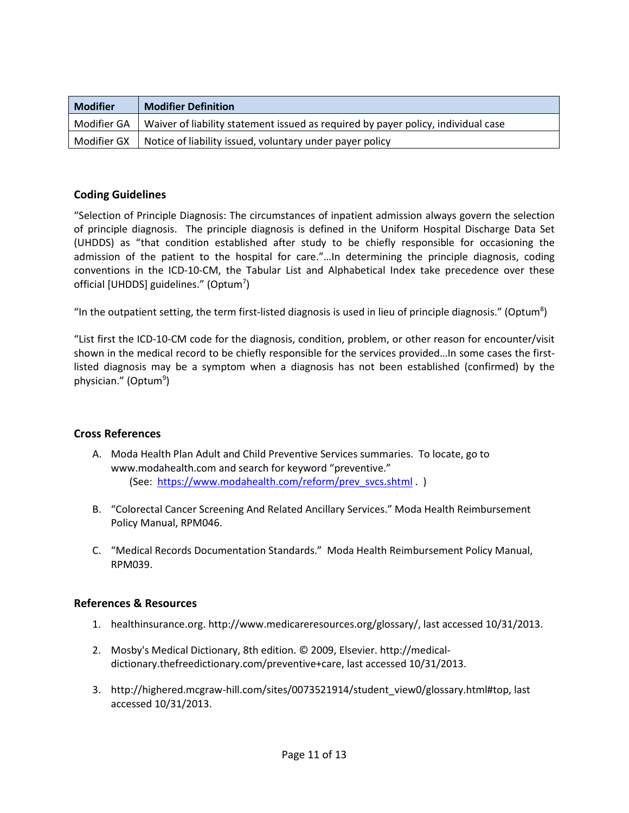| <b>Modifier</b> | <b>Modifier Definition</b>                                                        |
|-----------------|-----------------------------------------------------------------------------------|
| Modifier GA     | Waiver of liability statement issued as required by payer policy, individual case |
| Modifier GX     | Notice of liability issued, voluntary under payer policy                          |

### **Coding Guidelines**

"Selection of Principle Diagnosis: The circumstances of inpatient admission always govern the selection of principle diagnosis. The principle diagnosis is defined in the Uniform Hospital Discharge Data Set (UHDDS) as "that condition established after study to be chiefly responsible for occasioning the admission of the patient to the hospital for care."…In determining the principle diagnosis, coding conventions in the ICD-10-CM, the Tabular List and Alphabetical Index take precedence over these official [UHDDS] guidelines." (Optum<sup>7</sup>)

"In the outpatient setting, the term first-listed diagnosis is used in lieu of principle diagnosis." (Optum<sup>8</sup>)

"List first the ICD-10-CM code for the diagnosis, condition, problem, or other reason for encounter/visit shown in the medical record to be chiefly responsible for the services provided…In some cases the firstlisted diagnosis may be a symptom when a diagnosis has not been established (confirmed) by the physician." (Optum<sup>9</sup>)

### **Cross References**

- A. Moda Health Plan Adult and Child Preventive Services summaries. To locate, go to www.modahealth.com and search for keyword "preventive." (See: [https://www.modahealth.com/reform/prev\\_svcs.shtml](https://www.modahealth.com/reform/prev_svcs.shtml) . )
- B. "Colorectal Cancer Screening And Related Ancillary Services." Moda Health Reimbursement Policy Manual, RPM046.
- C. "Medical Records Documentation Standards." Moda Health Reimbursement Policy Manual, RPM039.

### **References & Resources**

- 1. healthinsurance.org. http://www.medicareresources.org/glossary/, last accessed 10/31/2013.
- 2. Mosby's Medical Dictionary, 8th edition. © 2009, Elsevier. http://medicaldictionary.thefreedictionary.com/preventive+care, last accessed 10/31/2013.
- 3. http://highered.mcgraw-hill.com/sites/0073521914/student\_view0/glossary.html#top, last accessed 10/31/2013.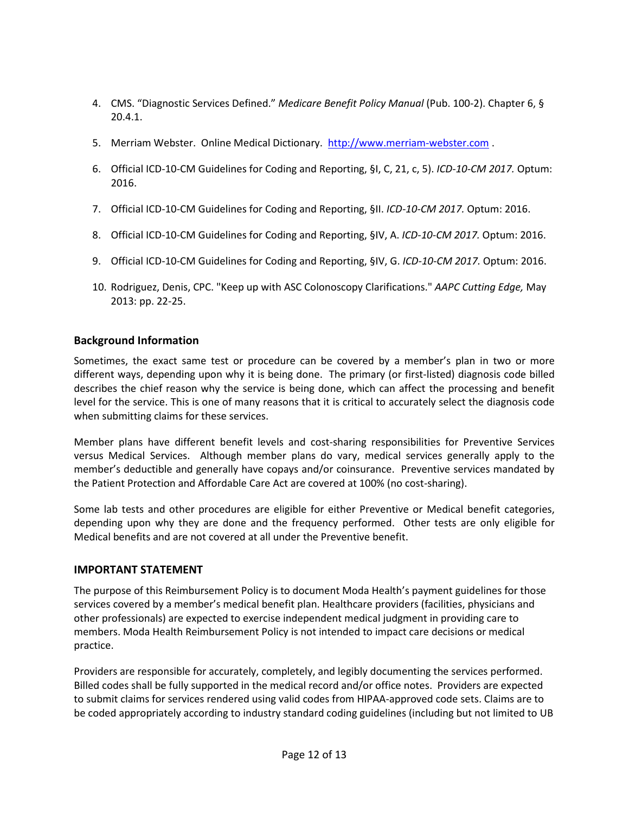- 4. CMS. "Diagnostic Services Defined." *Medicare Benefit Policy Manual* (Pub. 100-2). Chapter 6, § 20.4.1.
- 5. Merriam Webster. Online Medical Dictionary. [http://www.merriam-webster.com](http://www.merriam-webster.com/) .
- 6. Official ICD-10-CM Guidelines for Coding and Reporting, §I, C, 21, c, 5). *ICD-10-CM 2017.* Optum: 2016.
- 7. Official ICD-10-CM Guidelines for Coding and Reporting, §II. *ICD-10-CM 2017.* Optum: 2016.
- 8. Official ICD-10-CM Guidelines for Coding and Reporting, §IV, A. *ICD-10-CM 2017.* Optum: 2016.
- 9. Official ICD-10-CM Guidelines for Coding and Reporting, §IV, G. *ICD-10-CM 2017.* Optum: 2016.
- 10. Rodriguez, Denis, CPC. "Keep up with ASC Colonoscopy Clarifications." *AAPC Cutting Edge,* May 2013: pp. 22-25.

## **Background Information**

Sometimes, the exact same test or procedure can be covered by a member's plan in two or more different ways, depending upon why it is being done. The primary (or first-listed) diagnosis code billed describes the chief reason why the service is being done, which can affect the processing and benefit level for the service. This is one of many reasons that it is critical to accurately select the diagnosis code when submitting claims for these services.

Member plans have different benefit levels and cost-sharing responsibilities for Preventive Services versus Medical Services. Although member plans do vary, medical services generally apply to the member's deductible and generally have copays and/or coinsurance. Preventive services mandated by the Patient Protection and Affordable Care Act are covered at 100% (no cost-sharing).

Some lab tests and other procedures are eligible for either Preventive or Medical benefit categories, depending upon why they are done and the frequency performed. Other tests are only eligible for Medical benefits and are not covered at all under the Preventive benefit.

## **IMPORTANT STATEMENT**

The purpose of this Reimbursement Policy is to document Moda Health's payment guidelines for those services covered by a member's medical benefit plan. Healthcare providers (facilities, physicians and other professionals) are expected to exercise independent medical judgment in providing care to members. Moda Health Reimbursement Policy is not intended to impact care decisions or medical practice.

Providers are responsible for accurately, completely, and legibly documenting the services performed. Billed codes shall be fully supported in the medical record and/or office notes. Providers are expected to submit claims for services rendered using valid codes from HIPAA-approved code sets. Claims are to be coded appropriately according to industry standard coding guidelines (including but not limited to UB